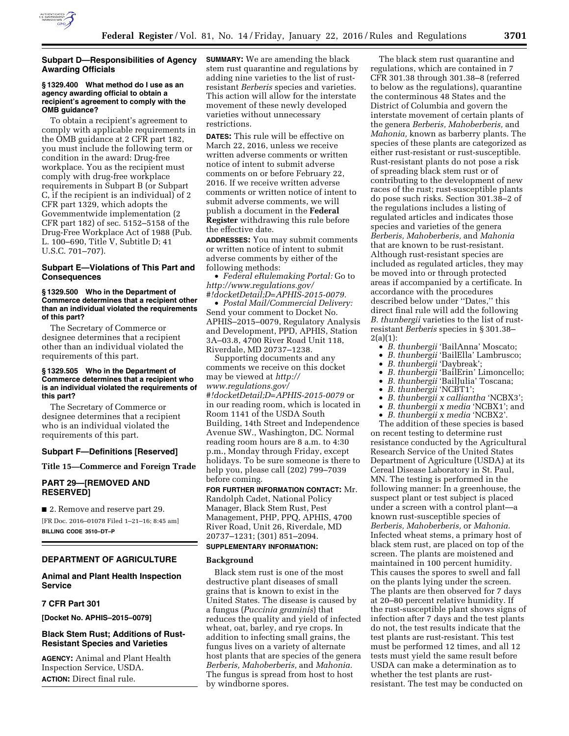

## **Subpart D—Responsibilities of Agency Awarding Officials**

### **§ 1329.400 What method do I use as an agency awarding official to obtain a recipient's agreement to comply with the OMB guidance?**

To obtain a recipient's agreement to comply with applicable requirements in the OMB guidance at 2 CFR part 182, you must include the following term or condition in the award: Drug-free workplace. You as the recipient must comply with drug-free workplace requirements in Subpart B (or Subpart C, if the recipient is an individual) of 2 CFR part 1329, which adopts the Govemmentwide implementation (2 CFR part 182) of sec. 5152–5158 of the Drug-Free Workplace Act of 1988 (Pub. L. 100–690, Title V, Subtitle D; 41 U.S.C. 701–707).

## **Subpart E—Violations of This Part and Consequences**

### **§ 1329.500 Who in the Department of Commerce determines that a recipient other than an individual violated the requirements of this part?**

The Secretary of Commerce or designee determines that a recipient other than an individual violated the requirements of this part.

## **§ 1329.505 Who in the Department of Commerce determines that a recipient who is an individual violated the requirements of this part?**

The Secretary of Commerce or designee determines that a recipient who is an individual violated the requirements of this part.

### **Subpart F—Definitions [Reserved]**

**Title 15—Commerce and Foreign Trade** 

# **PART 29—[REMOVED AND RESERVED]**

■ 2. Remove and reserve part 29. [FR Doc. 2016–01078 Filed 1–21–16; 8:45 am] **BILLING CODE 3510–DT–P** 

# **DEPARTMENT OF AGRICULTURE**

## **Animal and Plant Health Inspection Service**

# **7 CFR Part 301**

**[Docket No. APHIS–2015–0079]** 

# **Black Stem Rust; Additions of Rust-Resistant Species and Varieties**

**AGENCY:** Animal and Plant Health Inspection Service, USDA. **ACTION:** Direct final rule.

**SUMMARY:** We are amending the black stem rust quarantine and regulations by adding nine varieties to the list of rustresistant *Berberis* species and varieties. This action will allow for the interstate movement of these newly developed varieties without unnecessary restrictions.

**DATES:** This rule will be effective on March 22, 2016, unless we receive written adverse comments or written notice of intent to submit adverse comments on or before February 22, 2016. If we receive written adverse comments or written notice of intent to submit adverse comments, we will publish a document in the **Federal Register** withdrawing this rule before the effective date.

**ADDRESSES:** You may submit comments or written notice of intent to submit adverse comments by either of the following methods:

• *Federal eRulemaking Portal:* Go to *[http://www.regulations.gov/](http://www.regulations.gov/#!docketDetail;D=APHIS-2015-0079)*

*[#!docketDetail;D=APHIS-2015-0079.](http://www.regulations.gov/#!docketDetail;D=APHIS-2015-0079)*  • *Postal Mail/Commercial Delivery:*  Send your comment to Docket No. APHIS–2015–0079, Regulatory Analysis and Development, PPD, APHIS, Station 3A–03.8, 4700 River Road Unit 118, Riverdale, MD 20737–1238.

Supporting documents and any comments we receive on this docket may be viewed at *[http://](http://www.regulations.gov/#!docketDetail;D=APHIS-2015-0079) [www.regulations.gov/](http://www.regulations.gov/#!docketDetail;D=APHIS-2015-0079) [#!docketDetail;D=APHIS-2015-0079](http://www.regulations.gov/#!docketDetail;D=APHIS-2015-0079)* or in our reading room, which is located in Room 1141 of the USDA South Building, 14th Street and Independence Avenue SW., Washington, DC. Normal reading room hours are 8 a.m. to 4:30 p.m., Monday through Friday, except holidays. To be sure someone is there to help you, please call (202) 799–7039 before coming.

**FOR FURTHER INFORMATION CONTACT:** Mr. Randolph Cadet, National Policy Manager, Black Stem Rust, Pest Management, PHP, PPQ, APHIS, 4700 River Road, Unit 26, Riverdale, MD 20737–1231; (301) 851–2094.

# **SUPPLEMENTARY INFORMATION:**

#### **Background**

Black stem rust is one of the most destructive plant diseases of small grains that is known to exist in the United States. The disease is caused by a fungus (*Puccinia graminis*) that reduces the quality and yield of infected wheat, oat, barley, and rye crops. In addition to infecting small grains, the fungus lives on a variety of alternate host plants that are species of the genera *Berberis, Mahoberberis,* and *Mahonia.*  The fungus is spread from host to host by windborne spores.

The black stem rust quarantine and regulations, which are contained in 7 CFR 301.38 through 301.38–8 (referred to below as the regulations), quarantine the conterminous 48 States and the District of Columbia and govern the interstate movement of certain plants of the genera *Berberis, Mahoberberis,* and *Mahonia,* known as barberry plants. The species of these plants are categorized as either rust-resistant or rust-susceptible. Rust-resistant plants do not pose a risk of spreading black stem rust or of contributing to the development of new races of the rust; rust-susceptible plants do pose such risks. Section 301.38–2 of the regulations includes a listing of regulated articles and indicates those species and varieties of the genera *Berberis, Mahoberberis,* and *Mahonia*  that are known to be rust-resistant. Although rust-resistant species are included as regulated articles, they may be moved into or through protected areas if accompanied by a certificate. In accordance with the procedures described below under ''Dates,'' this direct final rule will add the following *B. thunbergii* varieties to the list of rustresistant *Berberis* species in § 301.38–  $2(a)(1)$ :

- *B. thunbergii* 'BailAnna' Moscato;
- *B. thunbergii* 'BailElla' Lambrusco;
- *B. thunbergii* 'Daybreak';
- *B. thunbergii* 'BailErin' Limoncello;
- *B. thunbergii* 'BailJulia' Toscana;
- *B. thunbergii* 'NCBT1';
- *B. thunbergii x calliantha* 'NCBX3';
- *B. thunbergii x media* 'NCBX1'; and

• *B. thunbergii x media* 'NCBX2'. The addition of these species is based on recent testing to determine rust resistance conducted by the Agricultural Research Service of the United States Department of Agriculture (USDA) at its Cereal Disease Laboratory in St. Paul, MN. The testing is performed in the following manner: In a greenhouse, the suspect plant or test subject is placed under a screen with a control plant—a known rust-susceptible species of *Berberis, Mahoberberis,* or *Mahonia.*  Infected wheat stems, a primary host of black stem rust, are placed on top of the screen. The plants are moistened and maintained in 100 percent humidity. This causes the spores to swell and fall on the plants lying under the screen. The plants are then observed for 7 days at 20–80 percent relative humidity. If the rust-susceptible plant shows signs of infection after 7 days and the test plants do not, the test results indicate that the test plants are rust-resistant. This test must be performed 12 times, and all 12 tests must yield the same result before USDA can make a determination as to whether the test plants are rustresistant. The test may be conducted on